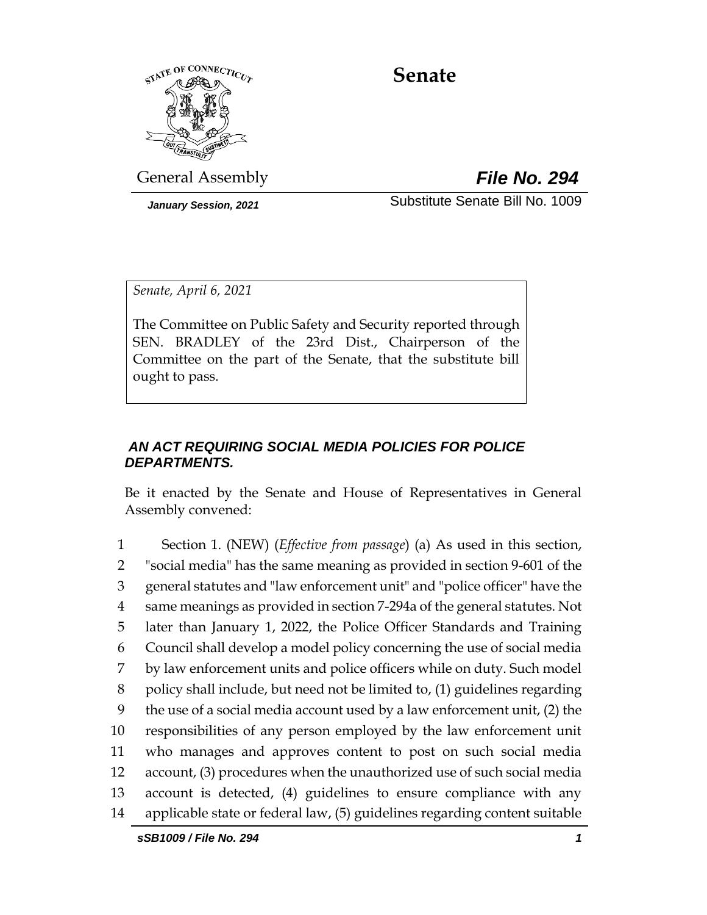

## **Senate**

General Assembly *File No. 294*

*January Session, 2021* Substitute Senate Bill No. 1009

*Senate, April 6, 2021*

The Committee on Public Safety and Security reported through SEN. BRADLEY of the 23rd Dist., Chairperson of the Committee on the part of the Senate, that the substitute bill ought to pass.

## *AN ACT REQUIRING SOCIAL MEDIA POLICIES FOR POLICE DEPARTMENTS.*

Be it enacted by the Senate and House of Representatives in General Assembly convened:

 Section 1. (NEW) (*Effective from passage*) (a) As used in this section, "social media" has the same meaning as provided in section 9-601 of the general statutes and "law enforcement unit" and "police officer" have the same meanings as provided in section 7-294a of the general statutes. Not later than January 1, 2022, the Police Officer Standards and Training Council shall develop a model policy concerning the use of social media by law enforcement units and police officers while on duty. Such model policy shall include, but need not be limited to, (1) guidelines regarding the use of a social media account used by a law enforcement unit, (2) the responsibilities of any person employed by the law enforcement unit who manages and approves content to post on such social media account, (3) procedures when the unauthorized use of such social media account is detected, (4) guidelines to ensure compliance with any applicable state or federal law, (5) guidelines regarding content suitable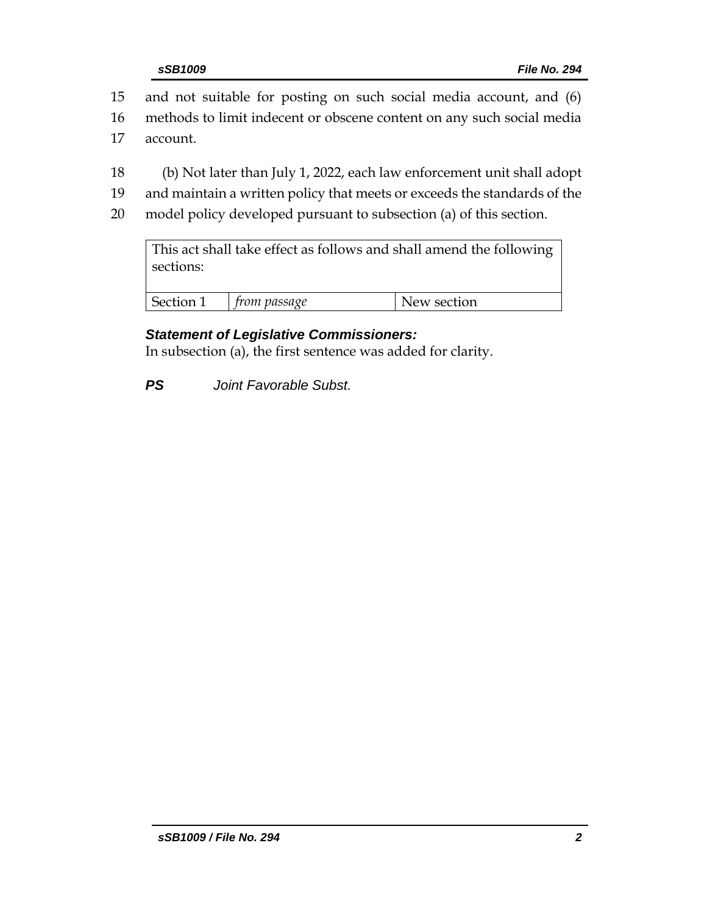15 and not suitable for posting on such social media account, and (6)

16 methods to limit indecent or obscene content on any such social media

- 17 account.
- 18 (b) Not later than July 1, 2022, each law enforcement unit shall adopt
- 19 and maintain a written policy that meets or exceeds the standards of the
- 20 model policy developed pursuant to subsection (a) of this section.

This act shall take effect as follows and shall amend the following sections:

| $ -$<br>$-1$ | ssaqe<br>'N | rtion<br>M |
|--------------|-------------|------------|
|              |             |            |

## *Statement of Legislative Commissioners:*

In subsection (a), the first sentence was added for clarity.

*PS Joint Favorable Subst.*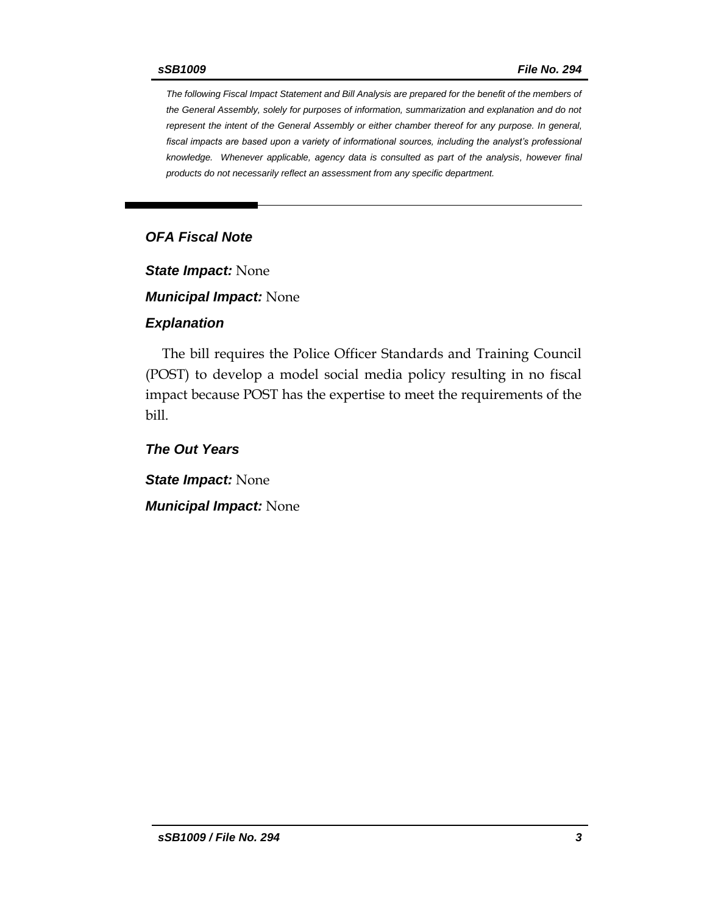*The following Fiscal Impact Statement and Bill Analysis are prepared for the benefit of the members of the General Assembly, solely for purposes of information, summarization and explanation and do not represent the intent of the General Assembly or either chamber thereof for any purpose. In general, fiscal impacts are based upon a variety of informational sources, including the analyst's professional knowledge. Whenever applicable, agency data is consulted as part of the analysis, however final products do not necessarily reflect an assessment from any specific department.*

### *OFA Fiscal Note*

*State Impact:* None

*Municipal Impact:* None

#### *Explanation*

The bill requires the Police Officer Standards and Training Council (POST) to develop a model social media policy resulting in no fiscal impact because POST has the expertise to meet the requirements of the bill.

*The Out Years*

*State Impact:* None *Municipal Impact:* None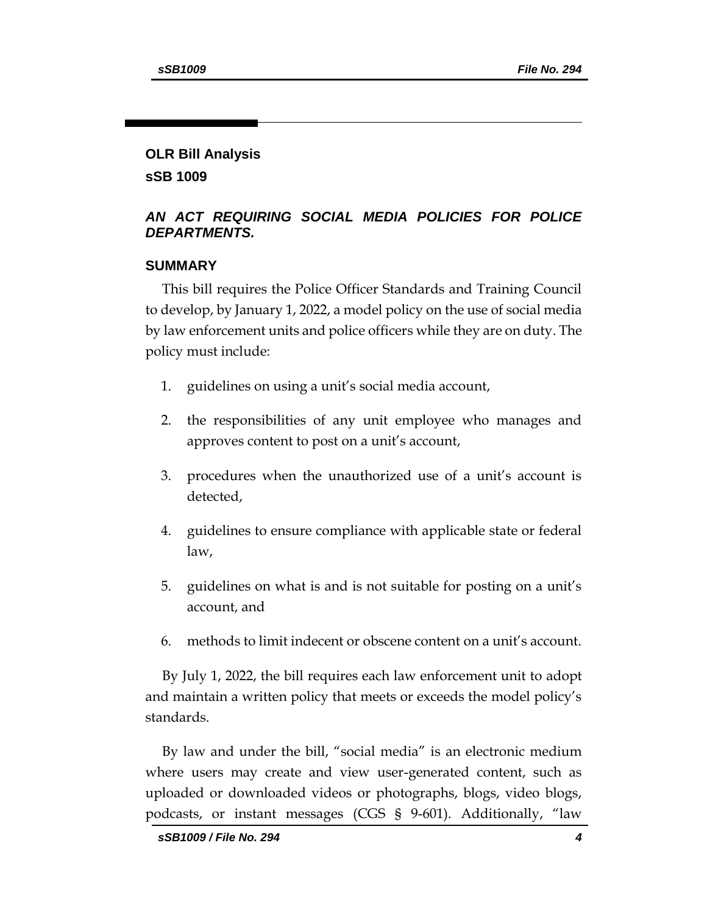# **OLR Bill Analysis**

**sSB 1009**

## *AN ACT REQUIRING SOCIAL MEDIA POLICIES FOR POLICE DEPARTMENTS.*

## **SUMMARY**

This bill requires the Police Officer Standards and Training Council to develop, by January 1, 2022, a model policy on the use of social media by law enforcement units and police officers while they are on duty. The policy must include:

- 1. guidelines on using a unit's social media account,
- 2. the responsibilities of any unit employee who manages and approves content to post on a unit's account,
- 3. procedures when the unauthorized use of a unit's account is detected,
- 4. guidelines to ensure compliance with applicable state or federal law,
- 5. guidelines on what is and is not suitable for posting on a unit's account, and
- 6. methods to limit indecent or obscene content on a unit's account.

By July 1, 2022, the bill requires each law enforcement unit to adopt and maintain a written policy that meets or exceeds the model policy's standards.

By law and under the bill, "social media" is an electronic medium where users may create and view user-generated content, such as uploaded or downloaded videos or photographs, blogs, video blogs, podcasts, or instant messages (CGS § 9-601). Additionally, "law